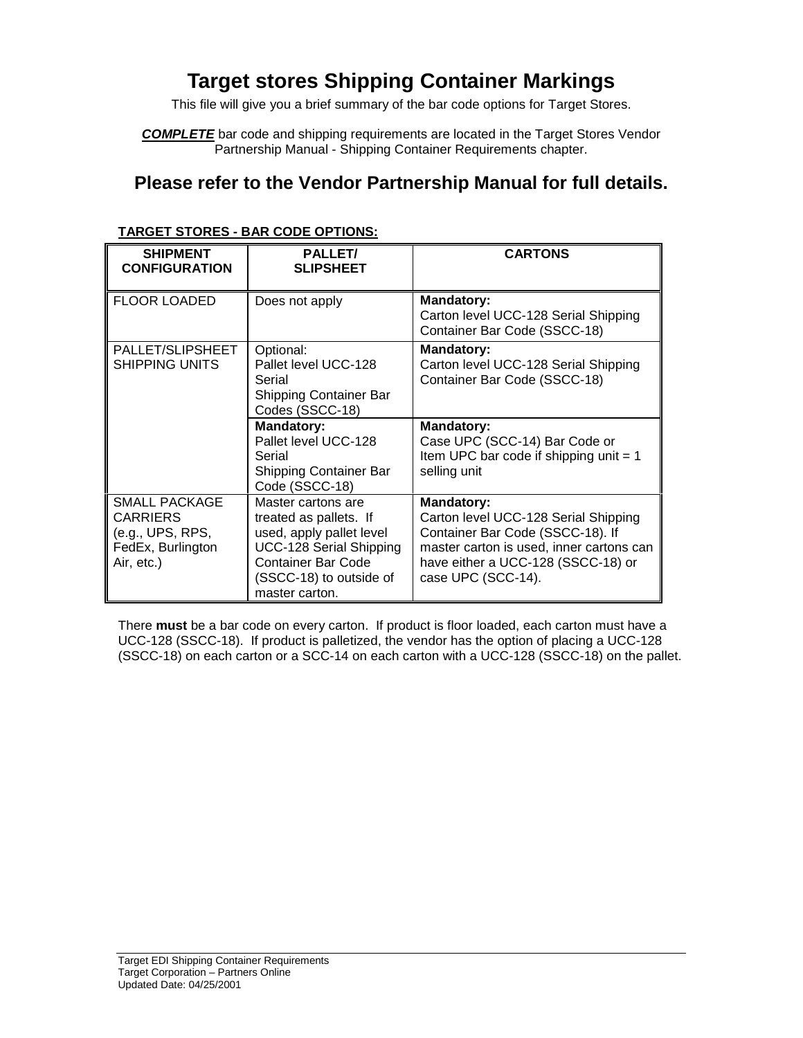# **Target stores Shipping Container Markings**

This file will give you a brief summary of the bar code options for Target Stores.

*COMPLETE* bar code and shipping requirements are located in the Target Stores Vendor Partnership Manual - Shipping Container Requirements chapter.

#### **Please refer to the Vendor Partnership Manual for full details.**

| <b>SHIPMENT</b><br><b>CONFIGURATION</b>                                                 | <b>PALLET/</b><br><b>SLIPSHEET</b>                                                                                                                                     | <b>CARTONS</b>                                                                                                                                                                                        |  |
|-----------------------------------------------------------------------------------------|------------------------------------------------------------------------------------------------------------------------------------------------------------------------|-------------------------------------------------------------------------------------------------------------------------------------------------------------------------------------------------------|--|
| <b>FLOOR LOADED</b>                                                                     | Does not apply                                                                                                                                                         | <b>Mandatory:</b><br>Carton level UCC-128 Serial Shipping<br>Container Bar Code (SSCC-18)                                                                                                             |  |
| PALLET/SLIPSHEET<br><b>SHIPPING UNITS</b>                                               | Optional:<br>Pallet level UCC-128<br>Serial<br>Shipping Container Bar<br>Codes (SSCC-18)                                                                               | <b>Mandatory:</b><br>Carton level UCC-128 Serial Shipping<br>Container Bar Code (SSCC-18)                                                                                                             |  |
|                                                                                         | <b>Mandatory:</b><br>Pallet level UCC-128<br>Serial<br>Shipping Container Bar<br>Code (SSCC-18)                                                                        | <b>Mandatory:</b><br>Case UPC (SCC-14) Bar Code or<br>Item UPC bar code if shipping unit $= 1$<br>selling unit                                                                                        |  |
| SMALL PACKAGE<br><b>CARRIERS</b><br>(e.g., UPS, RPS,<br>FedEx, Burlington<br>Air, etc.) | Master cartons are<br>treated as pallets. If<br>used, apply pallet level<br>UCC-128 Serial Shipping<br>Container Bar Code<br>(SSCC-18) to outside of<br>master carton. | <b>Mandatory:</b><br>Carton level UCC-128 Serial Shipping<br>Container Bar Code (SSCC-18). If<br>master carton is used, inner cartons can<br>have either a UCC-128 (SSCC-18) or<br>case UPC (SCC-14). |  |

#### **TARGET STORES - BAR CODE OPTIONS:**

There **must** be a bar code on every carton. If product is floor loaded, each carton must have a UCC-128 (SSCC-18). If product is palletized, the vendor has the option of placing a UCC-128 (SSCC-18) on each carton or a SCC-14 on each carton with a UCC-128 (SSCC-18) on the pallet.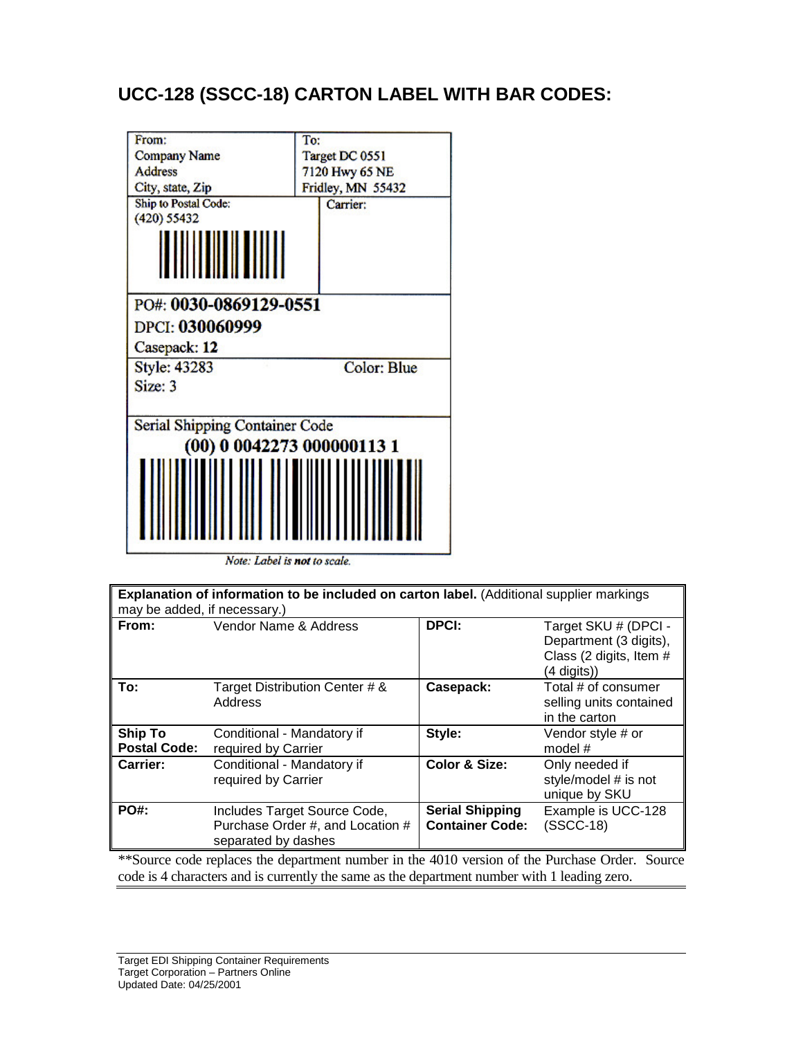# **UCC-128 (SSCC-18) CARTON LABEL WITH BAR CODES:**



Note: Label is not to scale.

| Explanation of information to be included on carton label. (Additional supplier markings<br>may be added, if necessary.) |                                                                                         |                                                  |                                                                                          |  |  |
|--------------------------------------------------------------------------------------------------------------------------|-----------------------------------------------------------------------------------------|--------------------------------------------------|------------------------------------------------------------------------------------------|--|--|
| From:                                                                                                                    | Vendor Name & Address                                                                   | <b>DPCI:</b>                                     | Target SKU # (DPCI -<br>Department (3 digits),<br>Class (2 digits, Item #<br>(4 digits)) |  |  |
| To:                                                                                                                      | Target Distribution Center # &<br>Address                                               | Casepack:                                        | Total # of consumer<br>selling units contained<br>in the carton                          |  |  |
| <b>Ship To</b><br><b>Postal Code:</b>                                                                                    | Conditional - Mandatory if<br>required by Carrier                                       | Style:                                           | Vendor style # or<br>model #                                                             |  |  |
| <b>Carrier:</b>                                                                                                          | Conditional - Mandatory if<br>required by Carrier                                       | <b>Color &amp; Size:</b>                         | Only needed if<br>style/model # is not<br>unique by SKU                                  |  |  |
| PO#:                                                                                                                     | Includes Target Source Code,<br>Purchase Order #, and Location #<br>separated by dashes | <b>Serial Shipping</b><br><b>Container Code:</b> | Example is UCC-128<br>$(SSCC-18)$                                                        |  |  |
| **Source code replaces the department number in the 4010 version of the Purchase Order. Source                           |                                                                                         |                                                  |                                                                                          |  |  |

code is 4 characters and is currently the same as the department number with 1 leading zero.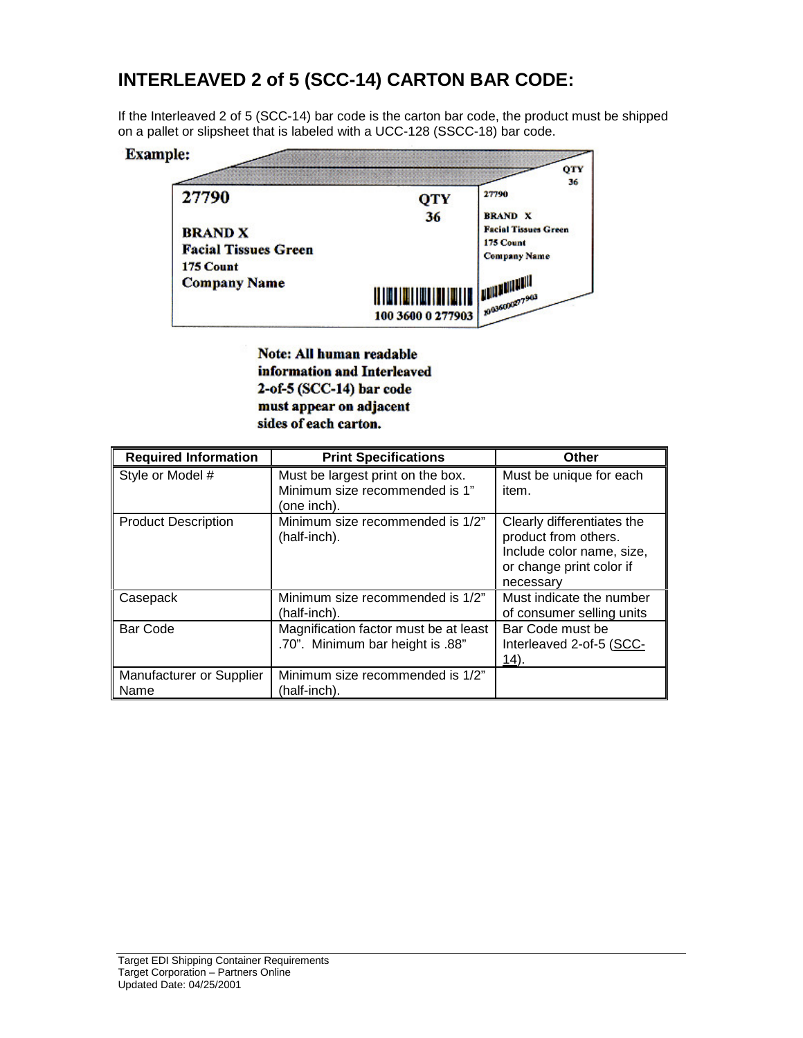## **INTERLEAVED 2 of 5 (SCC-14) CARTON BAR CODE:**

If the Interleaved 2 of 5 (SCC-14) bar code is the carton bar code, the product must be shipped on a pallet or slipsheet that is labeled with a UCC-128 (SSCC-18) bar code.



**Note: All human readable** information and Interleaved 2-of-5 (SCC-14) bar code must appear on adjacent sides of each carton.

| <b>Required Information</b>      | <b>Print Specifications</b>                                                        | <b>Other</b>                                                                                                             |
|----------------------------------|------------------------------------------------------------------------------------|--------------------------------------------------------------------------------------------------------------------------|
| Style or Model #                 | Must be largest print on the box.<br>Minimum size recommended is 1"<br>(one inch). | Must be unique for each<br>item.                                                                                         |
| <b>Product Description</b>       | Minimum size recommended is 1/2"<br>(half-inch).                                   | Clearly differentiates the<br>product from others.<br>Include color name, size,<br>or change print color if<br>necessary |
| Casepack                         | Minimum size recommended is 1/2"<br>(half-inch).                                   | Must indicate the number<br>of consumer selling units                                                                    |
| Bar Code                         | Magnification factor must be at least<br>.70". Minimum bar height is .88"          | Bar Code must be<br>Interleaved 2-of-5 (SCC-<br><u>14</u> ).                                                             |
| Manufacturer or Supplier<br>Name | Minimum size recommended is 1/2"<br>(half-inch).                                   |                                                                                                                          |